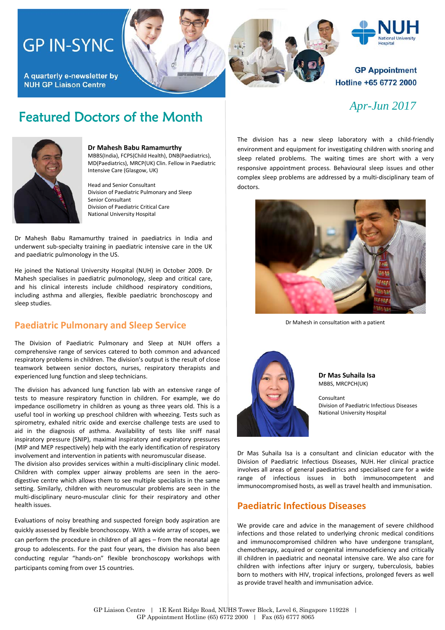# **GP IN-SYNC**

A quarterly e-newsletter by **NUH GP Liaison Centre** 



# Hospital

#### **GP Appointment** Hotline +65 6772 2000

# Featured Doctors of the Month *Apr-Jun 2017*



#### **Dr Mahesh Babu Ramamurthy** MBBS(India), FCPS(Child Health), DNB(Paediatrics), MD(Paediatrics), MRCP(UK) Clin. Fellow in Paediatric Intensive Care (Glasgow, UK)

Head and Senior Consultant Division of Paediatric Pulmonary and Sleep Senior Consultant Division of Paediatric Critical Care National University Hospital

Dr Mahesh Babu Ramamurthy trained in paediatrics in India and underwent sub-specialty training in paediatric intensive care in the UK and paediatric pulmonology in the US.

He joined the National University Hospital (NUH) in October 2009. Dr Mahesh specialises in paediatric pulmonology, sleep and critical care, and his clinical interests include childhood respiratory conditions, including asthma and allergies, flexible paediatric bronchoscopy and sleep studies.

#### **Paediatric Pulmonary and Sleep Service**

The Division of Paediatric Pulmonary and Sleep at NUH offers a comprehensive range of services catered to both common and advanced respiratory problems in children. The division's output is the result of close teamwork between senior doctors, nurses, respiratory therapists and experienced lung function and sleep technicians.

The division has advanced lung function lab with an extensive range of tests to measure respiratory function in children. For example, we do impedance oscillometry in children as young as three years old. This is a useful tool in working up preschool children with wheezing. Tests such as spirometry, exhaled nitric oxide and exercise challenge tests are used to aid in the diagnosis of asthma. Availability of tests like sniff nasal inspiratory pressure (SNIP), maximal inspiratory and expiratory pressures (MIP and MEP respectively) help with the early identification of respiratory involvement and intervention in patients with neuromuscular disease.

The division also provides services within a multi-disciplinary clinic model. Children with complex upper airway problems are seen in the aerodigestive centre which allows them to see multiple specialists in the same setting. Similarly, children with neuromuscular problems are seen in the multi-disciplinary neuro-muscular clinic for their respiratory and other health issues.

Evaluations of noisy breathing and suspected foreign body aspiration are quickly assessed by flexible bronchoscopy. With a wide array of scopes, we can perform the procedure in children of all ages – from the neonatal age group to adolescents. For the past four years, the division has also been conducting regular "hands-on" flexible bronchoscopy workshops with participants coming from over 15 countries.

The division has a new sleep laboratory with a child-friendly environment and equipment for investigating children with snoring and sleep related problems. The waiting times are short with a very responsive appointment process. Behavioural sleep issues and other complex sleep problems are addressed by a multi-disciplinary team of doctors.



Dr Mahesh in consultation with a patient



**Dr Mas Suhaila Isa** MBBS, MRCPCH(UK)

Consultant Division of Paediatric Infectious Diseases National University Hospital

Dr Mas Suhaila Isa is a consultant and clinician educator with the Division of Paediatric Infectious Diseases, NUH. Her clinical practice involves all areas of general paediatrics and specialised care for a wide range of infectious issues in both immunocompetent and immunocompromised hosts, as well as travel health and immunisation.

#### **Paediatric Infectious Diseases**

We provide care and advice in the management of severe childhood infections and those related to underlying chronic medical conditions and immunocompromised children who have undergone transplant, chemotherapy, acquired or congenital immunodeficiency and critically ill children in paediatric and neonatal intensive care. We also care for children with infections after injury or surgery, tuberculosis, babies born to mothers with HIV, tropical infections, prolonged fevers as well as provide travel health and immunisation advice.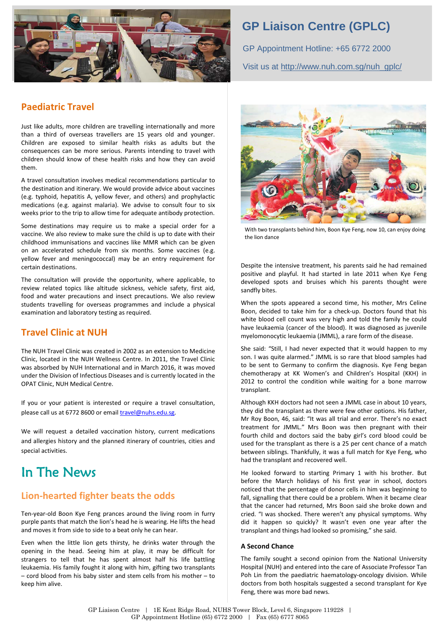

## **GP Liaison Centre (GPLC)**

GP Appointment Hotline: +65 6772 2000 Visit us at [http://www.nuh.com.sg/nuh\\_gplc/](http://www.nuh.com.sg/nuh_gplc/)

#### **Paediatric Travel**

Just like adults, more children are travelling internationally and more than a third of overseas travellers are 15 years old and younger. Children are exposed to similar health risks as adults but the consequences can be more serious. Parents intending to travel with children should know of these health risks and how they can avoid them.

A travel consultation involves medical recommendations particular to the destination and itinerary. We would provide advice about vaccines (e.g. typhoid, hepatitis A, yellow fever, and others) and prophylactic medications (e.g. against malaria). We advise to consult four to six weeks prior to the trip to allow time for adequate antibody protection.

Some destinations may require us to make a special order for a vaccine. We also review to make sure the child is up to date with their childhood immunisations and vaccines like MMR which can be given on an accelerated schedule from six months. Some vaccines (e.g. yellow fever and meningococcal) may be an entry requirement for certain destinations.

The consultation will provide the opportunity, where applicable, to review related topics like altitude sickness, vehicle safety, first aid, food and water precautions and insect precautions. We also review students travelling for overseas programmes and include a physical examination and laboratory testing as required.

### **Travel Clinic at NUH**

The NUH Travel Clinic was created in 2002 as an extension to Medicine Clinic, located in the NUH Wellness Centre. In 2011, the Travel Clinic was absorbed by NUH International and in March 2016, it was moved under the Division of Infectious Diseases and is currently located in the OPAT Clinic, NUH Medical Centre.

If you or your patient is interested or require a travel consultation, please call us at 6772 8600 or emai[l travel@nuhs.edu.sg.](mailto:travel@nuhs.edu.sg)

We will request a detailed vaccination history, current medications and allergies history and the planned itinerary of countries, cities and special activities.

# In The News

#### **Lion-hearted fighter beats the odds**

Ten-year-old Boon Kye Feng prances around the living room in furry purple pants that match the lion's head he is wearing. He lifts the head and moves it from side to side to a beat only he can hear.

Even when the little lion gets thirsty, he drinks water through the opening in the head. Seeing him at play, it may be difficult for strangers to tell that he has spent almost half his life battling leukaemia. His family fought it along with him, gifting two transplants – cord blood from his baby sister and stem cells from his mother – to keep him alive.



With two transplants behind him, Boon Kye Feng, now 10, can enjoy doing the lion dance

Despite the intensive treatment, his parents said he had remained positive and playful. It had started in late 2011 when Kye Feng developed spots and bruises which his parents thought were sandfly bites.

When the spots appeared a second time, his mother, Mrs Celine Boon, decided to take him for a check-up. Doctors found that his white blood cell count was very high and told the family he could have leukaemia (cancer of the blood). It was diagnosed as juvenile myelomonocytic leukaemia (JMML), a rare form of the disease.

She said: "Still, I had never expected that it would happen to my son. I was quite alarmed." JMML is so rare that blood samples had to be sent to Germany to confirm the diagnosis. Kye Feng began chemotherapy at KK Women's and Children's Hospital (KKH) in 2012 to control the condition while waiting for a bone marrow transplant.

Although KKH doctors had not seen a JMML case in about 10 years, they did the transplant as there were few other options. His father, Mr Roy Boon, 46, said: "It was all trial and error. There's no exact treatment for JMML." Mrs Boon was then pregnant with their fourth child and doctors said the baby girl's cord blood could be used for the transplant as there is a 25 per cent chance of a match between siblings. Thankfully, it was a full match for Kye Feng, who had the transplant and recovered well.

He looked forward to starting Primary 1 with his brother. But before the March holidays of his first year in school, doctors noticed that the percentage of donor cells in him was beginning to fall, signalling that there could be a problem. When it became clear that the cancer had returned, Mrs Boon said she broke down and cried. "I was shocked. There weren't any physical symptoms. Why did it happen so quickly? It wasn't even one year after the transplant and things had looked so promising," she said.

#### **A Second Chance**

The family sought a second opinion from the National University Hospital (NUH) and entered into the care of Associate Professor Tan Poh Lin from the paediatric haematology-oncology division. While doctors from both hospitals suggested a second transplant for Kye Feng, there was more bad news.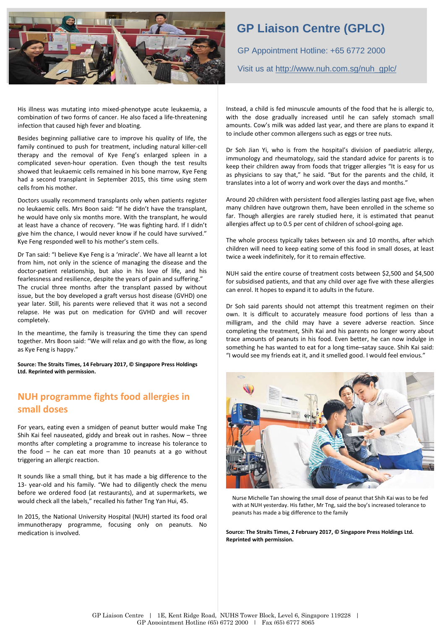

His illness was mutating into mixed-phenotype acute leukaemia, a combination of two forms of cancer. He also faced a life-threatening infection that caused high fever and bloating.

Besides beginning palliative care to improve his quality of life, the family continued to push for treatment, including natural killer-cell therapy and the removal of Kye Feng's enlarged spleen in a complicated seven-hour operation. Even though the test results showed that leukaemic cells remained in his bone marrow, Kye Feng had a second transplant in September 2015, this time using stem cells from his mother.

Doctors usually recommend transplants only when patients register no leukaemic cells. Mrs Boon said: "If he didn't have the transplant, he would have only six months more. With the transplant, he would at least have a chance of recovery. "He was fighting hard. If I didn't give him the chance, I would never know if he could have survived." Kye Feng responded well to his mother's stem cells.

Dr Tan said: "I believe Kye Feng is a 'miracle'. We have all learnt a lot from him, not only in the science of managing the disease and the doctor-patient relationship, but also in his love of life, and his fearlessness and resilience, despite the years of pain and suffering." The crucial three months after the transplant passed by without issue, but the boy developed a graft versus host disease (GVHD) one year later. Still, his parents were relieved that it was not a second relapse. He was put on medication for GVHD and will recover completely.

In the meantime, the family is treasuring the time they can spend together. Mrs Boon said: "We will relax and go with the flow, as long as Kye Feng is happy."

**Source: The Straits Times, 14 February 2017, © Singapore Press Holdings Ltd. Reprinted with permission.**

#### **NUH programme fights food allergies in small doses**

For years, eating even a smidgen of peanut butter would make Tng Shih Kai feel nauseated, giddy and break out in rashes. Now – three months after completing a programme to increase his tolerance to the food – he can eat more than 10 peanuts at a go without triggering an allergic reaction.

It sounds like a small thing, but it has made a big difference to the 13- year-old and his family. "We had to diligently check the menu before we ordered food (at restaurants), and at supermarkets, we would check all the labels," recalled his father Tng Yan Hui, 45.

In 2015, the National University Hospital (NUH) started its food oral immunotherapy programme, focusing only on peanuts. No medication is involved.

### **GP Liaison Centre (GPLC)**

GP Appointment Hotline: +65 6772 2000 Visit us at [http://www.nuh.com.sg/nuh\\_gplc/](http://www.nuh.com.sg/nuh_gplc/)

Instead, a child is fed minuscule amounts of the food that he is allergic to, with the dose gradually increased until he can safely stomach small amounts. Cow's milk was added last year, and there are plans to expand it to include other common allergens such as eggs or tree nuts.

Dr Soh Jian Yi, who is from the hospital's division of paediatric allergy, immunology and rheumatology, said the standard advice for parents is to keep their children away from foods that trigger allergies "It is easy for us as physicians to say that," he said. "But for the parents and the child, it translates into a lot of worry and work over the days and months."

Around 20 children with persistent food allergies lasting past age five, when many children have outgrown them, have been enrolled in the scheme so far. Though allergies are rarely studied here, it is estimated that peanut allergies affect up to 0.5 per cent of children of school-going age.

The whole process typically takes between six and 10 months, after which children will need to keep eating some of this food in small doses, at least twice a week indefinitely, for it to remain effective.

NUH said the entire course of treatment costs between \$2,500 and \$4,500 for subsidised patients, and that any child over age five with these allergies can enrol. It hopes to expand it to adults in the future.

Dr Soh said parents should not attempt this treatment regimen on their own. It is difficult to accurately measure food portions of less than a milligram, and the child may have a severe adverse reaction. Since completing the treatment, Shih Kai and his parents no longer worry about trace amounts of peanuts in his food. Even better, he can now indulge in something he has wanted to eat for a long time–satay sauce. Shih Kai said: "I would see my friends eat it, and it smelled good. I would feel envious."



Nurse Michelle Tan showing the small dose of peanut that Shih Kai was to be fed with at NUH yesterday. His father, Mr Tng, said the boy's increased tolerance to peanuts has made a big difference to the family

**Source: The Straits Times, 2 February 2017, © Singapore Press Holdings Ltd. Reprinted with permission.**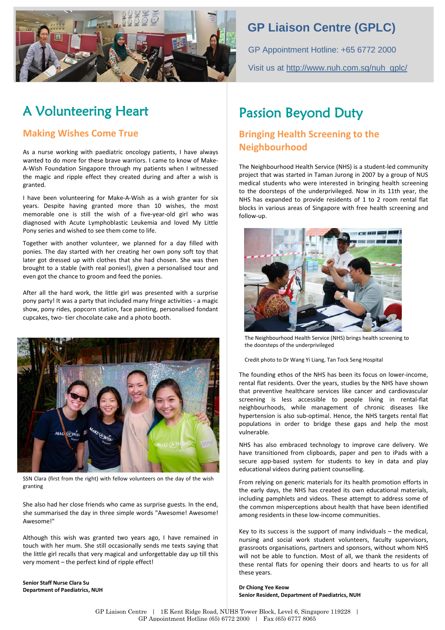

# **GP Liaison Centre (GPLC)**

GP Appointment Hotline: +65 6772 2000 Visit us at [http://www.nuh.com.sg/nuh\\_gplc/](http://www.nuh.com.sg/nuh_gplc/)

# A Volunteering Heart

#### **Making Wishes Come True**

As a nurse working with paediatric oncology patients, I have always wanted to do more for these brave warriors. I came to know of Make-A-Wish Foundation Singapore through my patients when I witnessed the magic and ripple effect they created during and after a wish is granted.

I have been volunteering for Make-A-Wish as a wish granter for six years. Despite having granted more than 10 wishes, the most memorable one is still the wish of a five-year-old girl who was diagnosed with Acute Lymphoblastic Leukemia and loved My Little Pony series and wished to see them come to life.

Together with another volunteer, we planned for a day filled with ponies. The day started with her creating her own pony soft toy that later got dressed up with clothes that she had chosen. She was then brought to a stable (with real ponies!), given a personalised tour and even got the chance to groom and feed the ponies.

After all the hard work, the little girl was presented with a surprise pony party! It was a party that included many fringe activities - a magic show, pony rides, popcorn station, face painting, personalised fondant cupcakes, two- tier chocolate cake and a photo booth.



SSN Clara (first from the right) with fellow volunteers on the day of the wish granting

She also had her close friends who came as surprise guests. In the end, she summarised the day in three simple words "Awesome! Awesome! Awesome!"

Although this wish was granted two years ago, I have remained in touch with her mum. She still occasionally sends me texts saying that the little girl recalls that very magical and unforgettable day up till this very moment – the perfect kind of ripple effect!

**Senior Staff Nurse Clara Su Department of Paediatrics, NUH**

# Passion Beyond Duty

### **Bringing Health Screening to the Neighbourhood**

The Neighbourhood Health Service (NHS) is a student-led community project that was started in Taman Jurong in 2007 by a group of NUS medical students who were interested in bringing health screening to the doorsteps of the underprivileged. Now in its 11th year, the NHS has expanded to provide residents of 1 to 2 room rental flat blocks in various areas of Singapore with free health screening and follow-up.



The Neighbourhood Health Service (NHS) brings health screening to the doorsteps of the underprivileged

Credit photo to Dr Wang Yi Liang, Tan Tock Seng Hospital

The founding ethos of the NHS has been its focus on lower-income, rental flat residents. Over the years, studies by the NHS have shown that preventive healthcare services like cancer and cardiovascular screening is less accessible to people living in rental-flat neighbourhoods, while management of chronic diseases like hypertension is also sub-optimal. Hence, the NHS targets rental flat populations in order to bridge these gaps and help the most vulnerable.

NHS has also embraced technology to improve care delivery. We have transitioned from clipboards, paper and pen to iPads with a secure app-based system for students to key in data and play educational videos during patient counselling.

From relying on generic materials for its health promotion efforts in the early days, the NHS has created its own educational materials, including pamphlets and videos. These attempt to address some of the common misperceptions about health that have been identified among residents in these low-income communities.

Key to its success is the support of many individuals – the medical, nursing and social work student volunteers, faculty supervisors, grassroots organisations, partners and sponsors, without whom NHS will not be able to function. Most of all, we thank the residents of these rental flats for opening their doors and hearts to us for all these years.

**Dr Chiong Yee Keow Senior Resident, Department of Paediatrics, NUH**